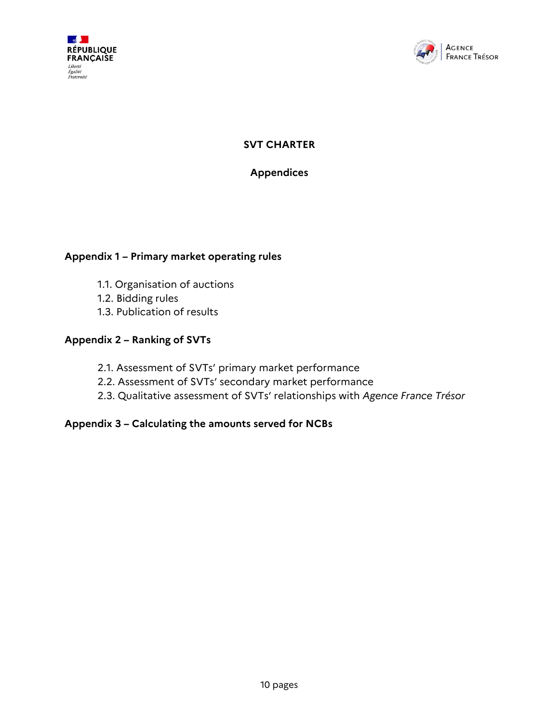



**SVT CHARTER**

**Appendices**

## **Appendix 1 – Primary market operating rules**

- 1.1. Organisation of auctions
- 1.2. Bidding rules
- 1.3. Publication of results

### **Appendix 2 – Ranking of SVTs**

- 2.1. Assessment of SVTs' primary market performance
- 2.2. Assessment of SVTs' secondary market performance
- 2.3. Qualitative assessment of SVTs' relationships with *Agence France Trésor*

### **Appendix 3 – Calculating the amounts served for NCBs**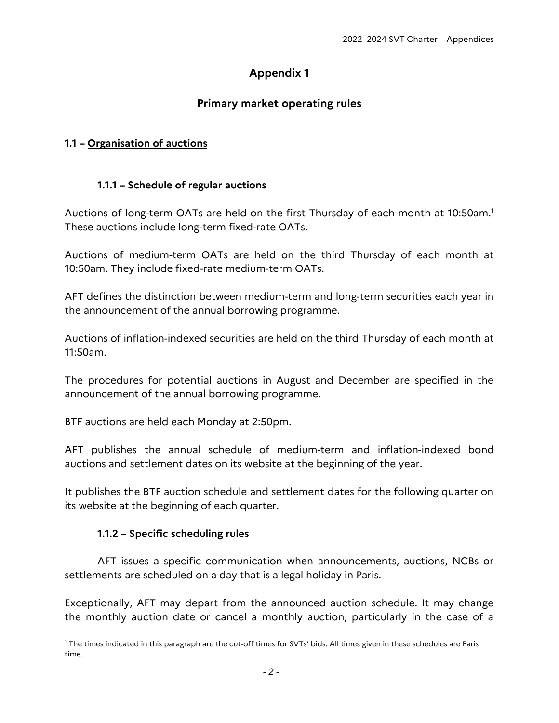# **Appendix 1**

# **Primary market operating rules**

## **1.1 – Organisation of auctions**

#### **1.1.1 – Schedule of regular auctions**

Auctions of long-term OATs are held on the first Thursday of each month at 10:50am.<sup>1</sup> These auctions include long-term fixed-rate OATs.

Auctions of medium-term OATs are held on the third Thursday of each month at 10:50am. They include fixed-rate medium-term OATs.

AFT defines the distinction between medium-term and long-term securities each year in the announcement of the annual borrowing programme.

Auctions of inflation-indexed securities are held on the third Thursday of each month at 11:50am.

The procedures for potential auctions in August and December are specified in the announcement of the annual borrowing programme.

BTF auctions are held each Monday at 2:50pm.

AFT publishes the annual schedule of medium-term and inflation-indexed bond auctions and settlement dates on its website at the beginning of the year.

It publishes the BTF auction schedule and settlement dates for the following quarter on its website at the beginning of each quarter.

#### **1.1.2 – Specific scheduling rules**

l

AFT issues a specific communication when announcements, auctions, NCBs or settlements are scheduled on a day that is a legal holiday in Paris.

Exceptionally, AFT may depart from the announced auction schedule. It may change the monthly auction date or cancel a monthly auction, particularly in the case of a

<sup>1</sup> The times indicated in this paragraph are the cut-off times for SVTs' bids. All times given in these schedules are Paris time.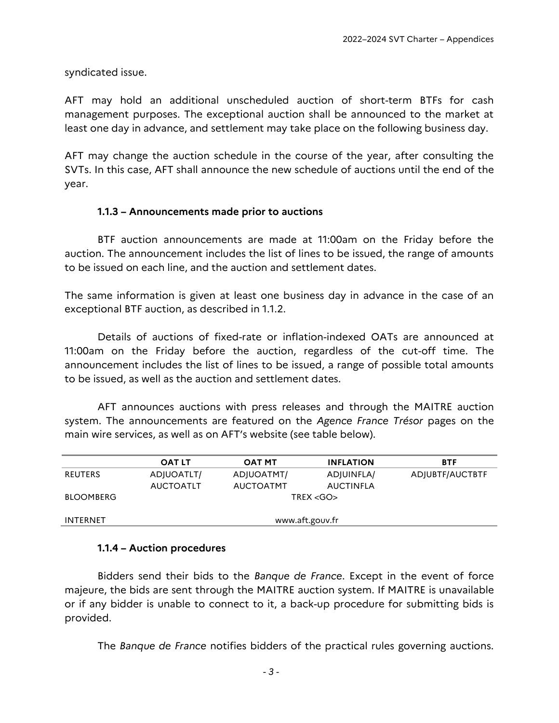syndicated issue.

AFT may hold an additional unscheduled auction of short-term BTFs for cash management purposes. The exceptional auction shall be announced to the market at least one day in advance, and settlement may take place on the following business day.

AFT may change the auction schedule in the course of the year, after consulting the SVTs. In this case, AFT shall announce the new schedule of auctions until the end of the year.

#### **1.1.3 – Announcements made prior to auctions**

BTF auction announcements are made at 11:00am on the Friday before the auction. The announcement includes the list of lines to be issued, the range of amounts to be issued on each line, and the auction and settlement dates.

The same information is given at least one business day in advance in the case of an exceptional BTF auction, as described in 1.1.2.

Details of auctions of fixed-rate or inflation-indexed OATs are announced at 11:00am on the Friday before the auction, regardless of the cut-off time. The announcement includes the list of lines to be issued, a range of possible total amounts to be issued, as well as the auction and settlement dates.

AFT announces auctions with press releases and through the MAITRE auction system. The announcements are featured on the *Agence France Trésor* pages on the main wire services, as well as on AFT's website (see table below).

|                  | <b>OAT LT</b>    | <b>OAT MT</b>    | <b>INFLATION</b> | <b>BTF</b>      |  |  |  |
|------------------|------------------|------------------|------------------|-----------------|--|--|--|
| <b>REUTERS</b>   | ADJUOATLT/       | ADJUOATMT/       | ADJUINFLA/       | ADJUBTF/AUCTBTF |  |  |  |
|                  | <b>AUCTOATLT</b> | <b>AUCTOATMT</b> | <b>AUCTINFLA</b> |                 |  |  |  |
| <b>BLOOMBERG</b> | TREX < GO        |                  |                  |                 |  |  |  |
|                  |                  |                  |                  |                 |  |  |  |
| <b>INTERNET</b>  | www.aft.gouv.fr  |                  |                  |                 |  |  |  |

#### **1.1.4 – Auction procedures**

Bidders send their bids to the *Banque de France*. Except in the event of force majeure, the bids are sent through the MAITRE auction system. If MAITRE is unavailable or if any bidder is unable to connect to it, a back-up procedure for submitting bids is provided.

The *Banque de France* notifies bidders of the practical rules governing auctions.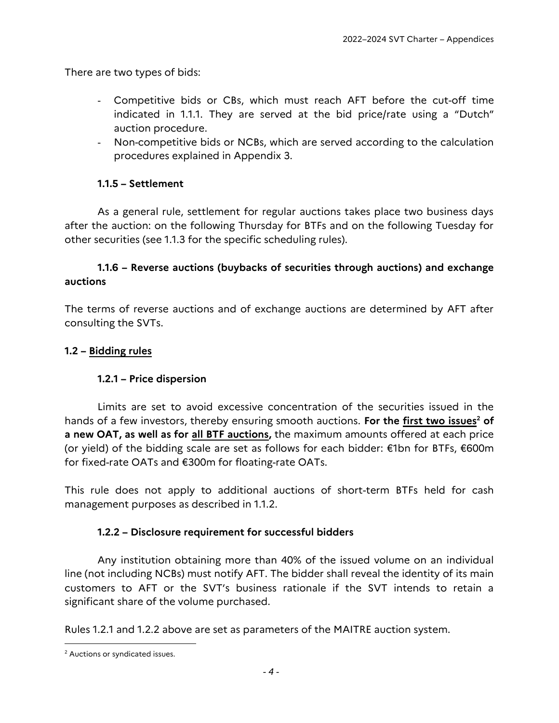There are two types of bids:

- Competitive bids or CBs, which must reach AFT before the cut-off time indicated in 1.1.1. They are served at the bid price/rate using a "Dutch" auction procedure.
- Non-competitive bids or NCBs, which are served according to the calculation procedures explained in Appendix 3.

#### **1.1.5 – Settlement**

As a general rule, settlement for regular auctions takes place two business days after the auction: on the following Thursday for BTFs and on the following Tuesday for other securities (see 1.1.3 for the specific scheduling rules).

### **1.1.6 – Reverse auctions (buybacks of securities through auctions) and exchange auctions**

The terms of reverse auctions and of exchange auctions are determined by AFT after consulting the SVTs.

#### **1.2 – Bidding rules**

#### **1.2.1 – Price dispersion**

Limits are set to avoid excessive concentration of the securities issued in the hands of a few investors, thereby ensuring smooth auctions. **For the first two issues<sup>2</sup> of a new OAT, as well as for all BTF auctions,** the maximum amounts offered at each price (or yield) of the bidding scale are set as follows for each bidder: €1bn for BTFs, €600m for fixed-rate OATs and €300m for floating-rate OATs.

This rule does not apply to additional auctions of short-term BTFs held for cash management purposes as described in 1.1.2.

#### **1.2.2 – Disclosure requirement for successful bidders**

Any institution obtaining more than 40% of the issued volume on an individual line (not including NCBs) must notify AFT. The bidder shall reveal the identity of its main customers to AFT or the SVT's business rationale if the SVT intends to retain a significant share of the volume purchased.

Rules 1.2.1 and 1.2.2 above are set as parameters of the MAITRE auction system.

l

<sup>2</sup> Auctions or syndicated issues.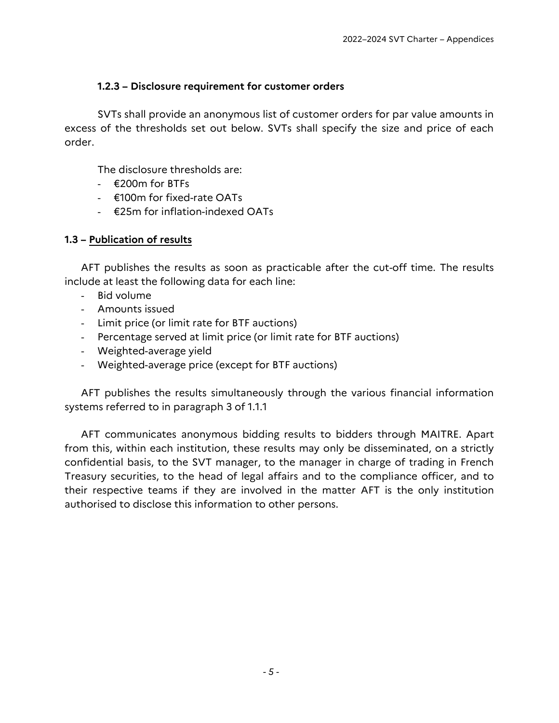#### **1.2.3 – Disclosure requirement for customer orders**

SVTs shall provide an anonymous list of customer orders for par value amounts in excess of the thresholds set out below. SVTs shall specify the size and price of each order.

The disclosure thresholds are:

- $-$  €200m for BTFs
- €100m for fixed-rate OATs
- €25m for inflation-indexed OATs

#### **1.3 – Publication of results**

AFT publishes the results as soon as practicable after the cut-off time. The results include at least the following data for each line:

- Bid volume
- Amounts issued
- Limit price (or limit rate for BTF auctions)
- Percentage served at limit price (or limit rate for BTF auctions)
- Weighted-average yield
- Weighted-average price (except for BTF auctions)

AFT publishes the results simultaneously through the various financial information systems referred to in paragraph 3 of 1.1.1

AFT communicates anonymous bidding results to bidders through MAITRE. Apart from this, within each institution, these results may only be disseminated, on a strictly confidential basis, to the SVT manager, to the manager in charge of trading in French Treasury securities, to the head of legal affairs and to the compliance officer, and to their respective teams if they are involved in the matter AFT is the only institution authorised to disclose this information to other persons.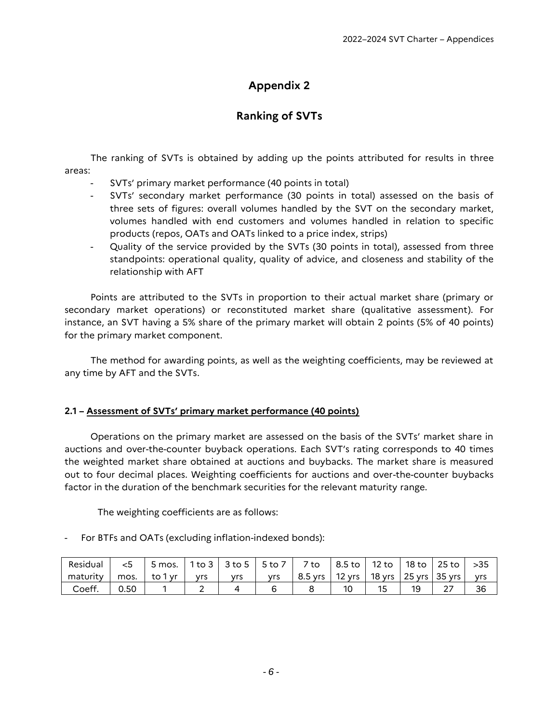# **Appendix 2**

# **Ranking of SVTs**

The ranking of SVTs is obtained by adding up the points attributed for results in three areas:

- SVTs' primary market performance (40 points in total)
- SVTs' secondary market performance (30 points in total) assessed on the basis of three sets of figures: overall volumes handled by the SVT on the secondary market, volumes handled with end customers and volumes handled in relation to specific products (repos, OATs and OATs linked to a price index, strips)
- Quality of the service provided by the SVTs (30 points in total), assessed from three standpoints: operational quality, quality of advice, and closeness and stability of the relationship with AFT

Points are attributed to the SVTs in proportion to their actual market share (primary or secondary market operations) or reconstituted market share (qualitative assessment). For instance, an SVT having a 5% share of the primary market will obtain 2 points (5% of 40 points) for the primary market component.

The method for awarding points, as well as the weighting coefficients, may be reviewed at any time by AFT and the SVTs.

#### **2.1 – Assessment of SVTs' primary market performance (40 points)**

Operations on the primary market are assessed on the basis of the SVTs' market share in auctions and over-the-counter buyback operations. Each SVT's rating corresponds to 40 times the weighted market share obtained at auctions and buybacks. The market share is measured out to four decimal places. Weighting coefficients for auctions and over-the-counter buybacks factor in the duration of the benchmark securities for the relevant maturity range.

The weighting coefficients are as follows:

For BTFs and OATs (excluding inflation-indexed bonds):

| Residual | <5   | 5 mos.   1 to 3   3 to 5   5 to 7   2 |            |            |            | 7 to      | 8.5 to   12 to                    | 18 to | 25 to $\vert$ | >35 |
|----------|------|---------------------------------------|------------|------------|------------|-----------|-----------------------------------|-------|---------------|-----|
| maturity | mos. | to 1 vr 1                             | <b>vrs</b> | <b>vrs</b> | <b>vrs</b> | $8.5$ yrs | 12 yrs   18 yrs   25 yrs   35 yrs |       |               | vrs |
| Coeff.   | 0.50 |                                       |            |            |            |           |                                   |       |               | 36  |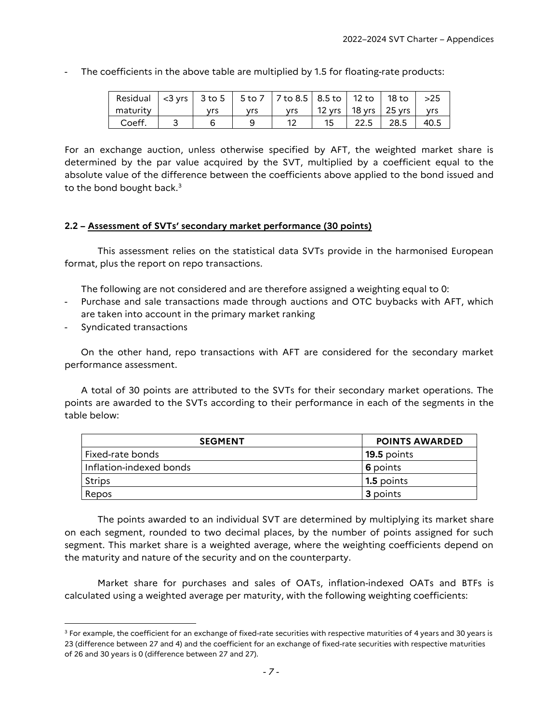- The coefficients in the above table are multiplied by 1.5 for floating-rate products:

| Residual $\vert$ <3 yrs $\vert$ 3 to 5 $\vert$ 5 to 7 $\vert$ 7 to 8.5 $\vert$ 8.5 to $\vert$ 12 to $\vert$ 18 to $\vert$ >25 |     |     |     |        |                                |      |
|-------------------------------------------------------------------------------------------------------------------------------|-----|-----|-----|--------|--------------------------------|------|
| maturity                                                                                                                      | vrs | vrs | vrs |        | 12 yrs   18 yrs   25 yrs   yrs |      |
| Coeff.                                                                                                                        |     |     |     | $22.5$ | $28.5$                         | 40.5 |

For an exchange auction, unless otherwise specified by AFT, the weighted market share is determined by the par value acquired by the SVT, multiplied by a coefficient equal to the absolute value of the difference between the coefficients above applied to the bond issued and to the bond bought back. $3$ 

#### **2.2 – Assessment of SVTs' secondary market performance (30 points)**

This assessment relies on the statistical data SVTs provide in the harmonised European format, plus the report on repo transactions.

The following are not considered and are therefore assigned a weighting equal to 0:

- Purchase and sale transactions made through auctions and OTC buybacks with AFT, which are taken into account in the primary market ranking
- Syndicated transactions

l

On the other hand, repo transactions with AFT are considered for the secondary market performance assessment.

A total of 30 points are attributed to the SVTs for their secondary market operations. The points are awarded to the SVTs according to their performance in each of the segments in the table below:

| <b>SEGMENT</b>          | <b>POINTS AWARDED</b> |
|-------------------------|-----------------------|
| Fixed-rate bonds        | 19.5 points           |
| Inflation-indexed bonds | 6 points              |
| <b>Strips</b>           | 1.5 points            |
| Repos                   | <b>3</b> points       |

The points awarded to an individual SVT are determined by multiplying its market share on each segment, rounded to two decimal places, by the number of points assigned for such segment. This market share is a weighted average, where the weighting coefficients depend on the maturity and nature of the security and on the counterparty.

Market share for purchases and sales of OATs, inflation-indexed OATs and BTFs is calculated using a weighted average per maturity, with the following weighting coefficients:

 $3$  For example, the coefficient for an exchange of fixed-rate securities with respective maturities of 4 years and 30 years is 23 (difference between 27 and 4) and the coefficient for an exchange of fixed-rate securities with respective maturities of 26 and 30 years is 0 (difference between 27 and 27).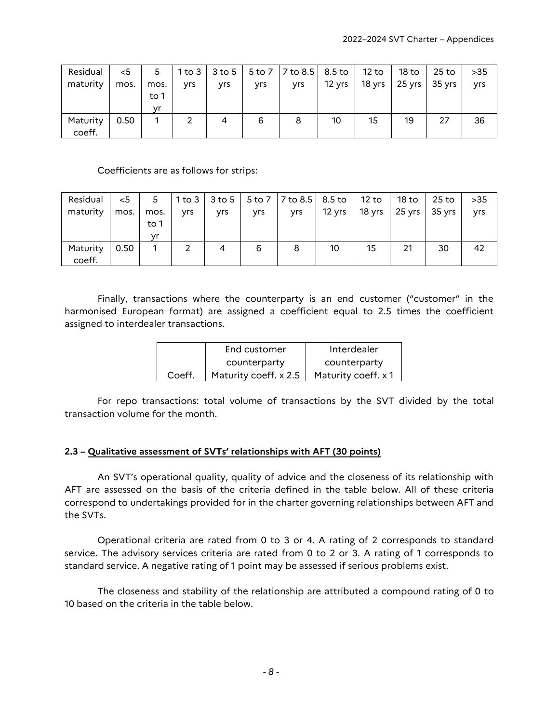| Residual           | $<$ 5 | 5    |            |     |            | 1 to 3   3 to 5   5 to 7   7 to 8.5   8.5 to   12 to |        |    | 18 to                    | 25 to 1 | $>35$ |
|--------------------|-------|------|------------|-----|------------|------------------------------------------------------|--------|----|--------------------------|---------|-------|
| maturity           | mos.  | mos. | <b>Vrs</b> | yrs | <b>yrs</b> | <b>Vrs</b>                                           | 12 yrs |    | 18 yrs   25 yrs   35 yrs |         | yrs   |
|                    |       | to 1 |            |     |            |                                                      |        |    |                          |         |       |
|                    |       | vr   |            |     |            |                                                      |        |    |                          |         |       |
| Maturity<br>coeff. | 0.50  |      |            | 4   | 6          | 8                                                    | 10     | 15 | 19                       | 27      | 36    |

#### Coefficients are as follows for strips:

| Residual | $<$ 5 | 5    |     |            |            | 1 to 3   3 to 5   5 to 7   7 to 8.5   8.5 to   12 to   18 to   25 to |                                   |    |    |    | $>35$ |
|----------|-------|------|-----|------------|------------|----------------------------------------------------------------------|-----------------------------------|----|----|----|-------|
| maturity | mos.  | mos. | yrs | <b>yrs</b> | <b>Vrs</b> | <b>yrs</b>                                                           | 12 yrs   18 yrs   25 yrs   35 yrs |    |    |    | yrs   |
|          |       | to 1 |     |            |            |                                                                      |                                   |    |    |    |       |
|          |       | vr   |     |            |            |                                                                      |                                   |    |    |    |       |
| Maturity | 0.50  |      |     | 4          | 6          | 8                                                                    | 10                                | 15 | 21 | 30 | 42    |
| coeff.   |       |      |     |            |            |                                                                      |                                   |    |    |    |       |

Finally, transactions where the counterparty is an end customer ("customer" in the harmonised European format) are assigned a coefficient equal to 2.5 times the coefficient assigned to interdealer transactions.

|        | End customer          | Interdealer         |
|--------|-----------------------|---------------------|
|        | counterparty          | counterparty        |
| Coeff. | Maturity coeff. x 2.5 | Maturity coeff. x 1 |

For repo transactions: total volume of transactions by the SVT divided by the total transaction volume for the month.

#### **2.3 – Qualitative assessment of SVTs' relationships with AFT (30 points)**

An SVT's operational quality, quality of advice and the closeness of its relationship with AFT are assessed on the basis of the criteria defined in the table below. All of these criteria correspond to undertakings provided for in the charter governing relationships between AFT and the SVTs.

Operational criteria are rated from 0 to 3 or 4. A rating of 2 corresponds to standard service. The advisory services criteria are rated from 0 to 2 or 3. A rating of 1 corresponds to standard service. A negative rating of 1 point may be assessed if serious problems exist.

The closeness and stability of the relationship are attributed a compound rating of 0 to 10 based on the criteria in the table below.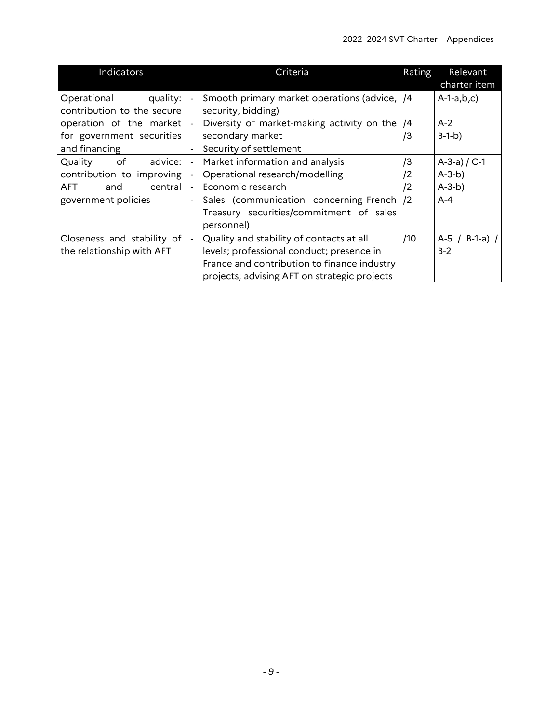| Indicators                 | Criteria                                                   | Rating          | Relevant<br>charter item |
|----------------------------|------------------------------------------------------------|-----------------|--------------------------|
| Operational<br>quality:    | Smooth primary market operations (advice,   /4             |                 | $A-1-a,b,c)$             |
| contribution to the secure | security, bidding)                                         |                 |                          |
| operation of the market    | Diversity of market-making activity on the                 | /4              | $A-2$                    |
| for government securities  | secondary market                                           | /3              | $B-1-b)$                 |
| and financing              | Security of settlement                                     |                 |                          |
| Quality<br>of<br>advice:   | Market information and analysis<br>$\sim$                  | /3              | A-3-a) $/$ C-1           |
| contribution to improving  | Operational research/modelling                             | $\sqrt{2}$      | $A-3-b)$                 |
| AFT<br>central<br>and      | Economic research                                          | $\sqrt{2}$      | $A-3-b)$                 |
| government policies        | Sales (communication concerning French)                    | $\overline{12}$ | $A-4$                    |
|                            | Treasury securities/commitment of sales                    |                 |                          |
|                            | personnel)                                                 |                 |                          |
| Closeness and stability of | Quality and stability of contacts at all<br>$\blacksquare$ | /10             | $A-5/$<br>$B-1-a$ ) /    |
| the relationship with AFT  | levels; professional conduct; presence in                  |                 | $B-2$                    |
|                            | France and contribution to finance industry                |                 |                          |
|                            | projects; advising AFT on strategic projects               |                 |                          |